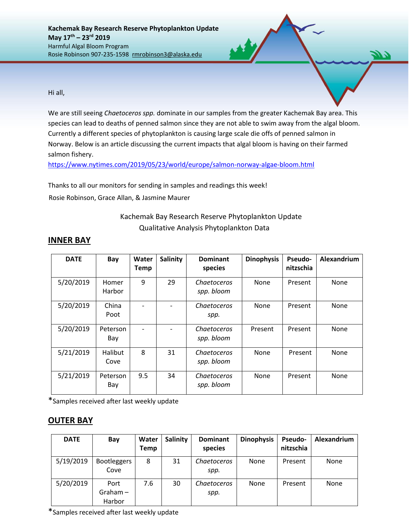Hi all,

We are still seeing *Chaetoceros spp.* dominate in our samples from the greater Kachemak Bay area. This species can lead to deaths of penned salmon since they are not able to swim away from the algal bloom. Currently a different species of phytoplankton is causing large scale die offs of penned salmon in Norway. Below is an article discussing the current impacts that algal bloom is having on their farmed salmon fishery.

<https://www.nytimes.com/2019/05/23/world/europe/salmon-norway-algae-bloom.html>

Thanks to all our monitors for sending in samples and readings this week! Rosie Robinson, Grace Allan, & Jasmine Maurer

# Kachemak Bay Research Reserve Phytoplankton Update Qualitative Analysis Phytoplankton Data

| <b>DATE</b> | Bay                    | Water<br><b>Temp</b> | Salinity | <b>Dominant</b><br>species | <b>Dinophysis</b> | Pseudo-<br>nitzschia | Alexandrium |
|-------------|------------------------|----------------------|----------|----------------------------|-------------------|----------------------|-------------|
| 5/20/2019   | Homer<br>Harbor        | 9                    | 29       | Chaetoceros<br>spp. bloom  | None              | Present              | None        |
| 5/20/2019   | China<br>Poot          |                      |          | Chaetoceros<br>spp.        | None              | Present              | None        |
| 5/20/2019   | Peterson<br>Bay        |                      |          | Chaetoceros<br>spp. bloom  | Present           | Present              | None        |
| 5/21/2019   | <b>Halibut</b><br>Cove | 8                    | 31       | Chaetoceros<br>spp. bloom  | None              | Present              | None        |
| 5/21/2019   | Peterson<br>Bay        | 9.5                  | 34       | Chaetoceros<br>spp. bloom  | None              | Present              | None        |

## **INNER BAY**

\*Samples received after last weekly update

### **OUTER BAY**

| <b>DATE</b> | Bay                          | Water<br><b>Temp</b> | <b>Salinity</b> | <b>Dominant</b><br>species | <b>Dinophysis</b> | <b>Pseudo-</b><br>nitzschia | Alexandrium |
|-------------|------------------------------|----------------------|-----------------|----------------------------|-------------------|-----------------------------|-------------|
| 5/19/2019   | <b>Bootleggers</b><br>Cove   | 8                    | 31              | <i>Chaetoceros</i><br>spp. | None              | Present                     | None        |
| 5/20/2019   | Port<br>$Graham -$<br>Harbor | 7.6                  | 30              | Chaetoceros<br>spp.        | None              | Present                     | None        |

\*Samples received after last weekly update